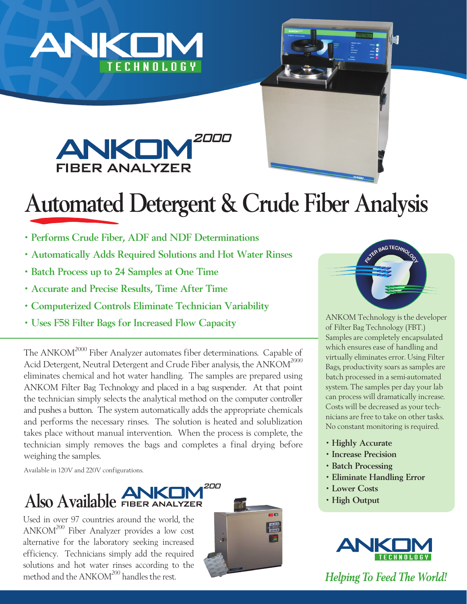





## Automated Detergent & Crude Fiber Analysis

- Performs Crude Fiber, ADF and NDF Determinations
- Automatically Adds Required Solutions and Hot Water Rinses
- Batch Process up to 24 Samples at One Time
- Accurate and Precise Results, Time After Time
- Computerized Controls Eliminate Technician Variability
- Uses F58 Filter Bags for Increased Flow Capacity

The ANKOM<sup>2000</sup> Fiber Analyzer automates fiber determinations. Capable of Acid Detergent, Neutral Detergent and Crude Fiber analysis, the ANKOM<sup>2000</sup> eliminates chemical and hot water handling. The samples are prepared using ANKOM Filter Bag Technology and placed in a bag suspender. At that point the technician simply selects the analytical method on the computer controller and pushes a button. The system automatically adds the appropriate chemicals and performs the necessary rinses. The solution is heated and solublization takes place without manual intervention. When the process is complete, the technician simply removes the bags and completes a final drying before weighing the samples.

Available in 120V and 220V configurations.



Used in over 97 countries around the world, the ANKOM<sup>200</sup> Fiber Analyzer provides a low cost alternative for the laboratory seeking increased efficiency. Technicians simply add the required solutions and hot water rinses according to the method and the ANKOM<sup>200</sup> handles the rest.





ANKOM Technology is the developer of Filter Bag Technology (FBT.) Samples are completely encapsulated which ensures ease of handling and virtually eliminates error. Using Filter Bags, productivity soars as samples are batch processed in a semi-automated system. The samples per day your lab can process will dramatically increase. Costs will be decreased as your technicians are free to take on other tasks. No constant monitoring is required.

- Highly Accurate
- Increase Precision
- Batch Processing
- Eliminate Handling Error
- Lower Costs
- High Output



*Helping To Feed The World!*